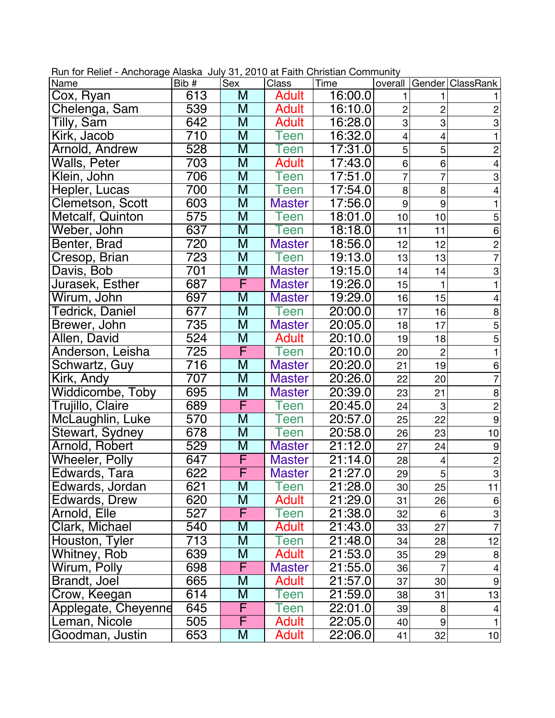| Name                  | Bib#             | Sex                     | Class         | Time    |                          |                 | overall   Gender   ClassRank |
|-----------------------|------------------|-------------------------|---------------|---------|--------------------------|-----------------|------------------------------|
| Cox, Ryan             | 613              | M                       | <b>Adult</b>  | 16:00.0 |                          |                 |                              |
| Chelenga, Sam         | 539              | M                       | <b>Adult</b>  | 16:10.0 | $\overline{c}$           | $\overline{c}$  | $\overline{c}$               |
| Tilly, Sam            | 642              | M                       | <b>Adult</b>  | 16:28.0 | 3                        | 3               | $\overline{3}$               |
| Kirk, Jacob           | 710              | M                       | Teen          | 16:32.0 | $\overline{\mathcal{A}}$ | 4               | $\mathbf{1}$                 |
| Arnold, Andrew        | 528              | $\overline{\mathsf{M}}$ | <b>Teen</b>   | 17:31.0 | 5                        | 5               | $\overline{c}$               |
| Walls, Peter          | 703              | M                       | <b>Adult</b>  | 17:43.0 | 6                        | 6               | $\overline{4}$               |
| Klein, John           | 706              | M                       | Teen          | 17:51.0 | 7                        | 7               | $\mbox{3}$                   |
| Hepler, Lucas         | 700              | $\overline{\mathsf{M}}$ | Teen          | 17:54.0 | 8                        | 8               | 4                            |
| Clemetson, Scott      | 603              | $\overline{M}$          | <b>Master</b> | 17:56.0 | $\boldsymbol{9}$         | 9               | 1                            |
| Metcalf, Quinton      | 575              | M                       | Teen          | 18:01.0 | 10                       | 10              | 5                            |
| Weber, John           | 637              | M                       | Teen          | 18:18.0 | 11                       | 11              | 6                            |
| Benter, Brad          | 720              | M                       | <b>Master</b> | 18:56.0 | 12                       | 12              | $\overline{c}$               |
| Cresop, Brian         | 723              | M                       | Teen          | 19:13.0 | 13                       | 13              | $\overline{7}$               |
| Davis, Bob            | 701              | M                       | <b>Master</b> | 19:15.0 | 14                       | 14              | 3                            |
| Jurasek, Esther       | 687              | F                       | <b>Master</b> | 19:26.0 | 15                       |                 | $\mathbf{1}$                 |
| Wirum, John           | 697              | M                       | <b>Master</b> | 19:29.0 | 16                       | 15              | $\overline{4}$               |
| Tedrick, Daniel       | 677              | M                       | Teen          | 20:00.0 | 17                       | 16              | 8                            |
| Brewer, John          | 735              | M                       | <b>Master</b> | 20:05.0 | 18                       | 17              | $\overline{5}$               |
| Allen, David          | 524              | M                       | <b>Adult</b>  | 20:10.0 | 19                       | 18              | $\overline{5}$               |
| Anderson, Leisha      | 725              | F                       | Teen          | 20:10.0 | 20                       | $\overline{2}$  | 1                            |
| Schwartz, Guy         | 716              | M                       | <b>Master</b> | 20:20.0 | 21                       | 19              | 6                            |
| Kirk, Andy            | $\overline{707}$ | $\overline{\mathsf{M}}$ | <b>Master</b> | 20:26.0 | 22                       | 20              | $\overline{7}$               |
| Widdicombe, Toby      | 695              | M                       | <b>Master</b> | 20:39.0 | 23                       | 21              | 8                            |
| Trujillo, Claire      | 689              | F                       | Teen          | 20:45.0 | 24                       | 3               | $\overline{2}$               |
| McLaughlin, Luke      | 570              | M                       | Teen          | 20:57.0 | 25                       | 22              | $\overline{9}$               |
| Stewart, Sydney       | 678              | $\overline{M}$          | <b>Teen</b>   | 20:58.0 | 26                       | 23              | 10                           |
| Arnold, Robert        | 529              | M                       | <b>Master</b> | 21:12.0 | 27                       | 24              | 9                            |
| <b>Wheeler, Polly</b> | 647              | F                       | <b>Master</b> | 21:14.0 | 28                       | $\overline{4}$  | $\overline{2}$               |
| Edwards, Tara         | 622              | F                       | <b>Master</b> | 21:27.0 | 29                       | 5               | $\overline{3}$               |
| Edwards, Jordan       | 621              | $\overline{\mathsf{M}}$ | <b>Teen</b>   | 21:28.0 | 30                       | $\overline{25}$ | 11                           |
| Edwards, Drew         | 620              | M                       | Adult         | 21:29.0 | 31                       | 26              | $6 \,$                       |
| Arnold, Elle          | 527              | F                       | Teen          | 21:38.0 | 32                       | $6 \mid$        | $\mathbf{3}$                 |
| Clark, Michael        | 540              | M                       | <b>Adult</b>  | 21:43.0 | 33                       | 27              |                              |
| Houston, Tyler        | 713              | M                       | Teen          | 21:48.0 | 34                       | 28              | 12                           |
| Whitney, Rob          | 639              | M                       | <b>Adult</b>  | 21:53.0 | 35                       | 29              | 8                            |
| Wirum, Polly          | 698              | F                       | <b>Master</b> | 21:55.0 | 36                       | $\overline{7}$  | $\vert 4 \vert$              |
| Brandt, Joel          | 665              | M                       | Adult         | 21:57.0 | 37                       | 30              | $\mathsf g$                  |
| Crow, Keegan          | 614              | M                       | Teen          | 21:59.0 | 38                       | 31              | 13                           |
| Applegate, Cheyenne   | 645              | F                       | Teen          | 22:01.0 | 39                       | 8               | 4                            |
| Leman, Nicole         | 505              | F                       | <b>Adult</b>  | 22:05.0 | 40                       | $\overline{9}$  | 1                            |
| Goodman, Justin       | 653              | M                       | <b>Adult</b>  | 22:06.0 | 41                       | 32              | 10                           |

Run for Relief - Anchorage Alaska July 31, 2010 at Faith Christian Community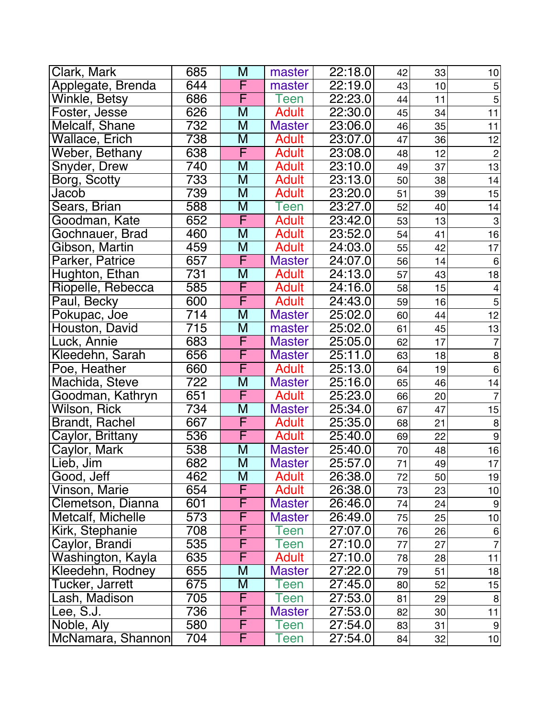| Clark, Mark           | 685              | M                       | master        | 22:18.0 | 42 | 33 | 10             |
|-----------------------|------------------|-------------------------|---------------|---------|----|----|----------------|
| Applegate, Brenda     | 644              | F                       | master        | 22:19.0 | 43 | 10 | $\mathbf 5$    |
| Winkle, Betsy         | 686              | F                       | Teen          | 22:23.0 | 44 | 11 | $\overline{5}$ |
| Foster, Jesse         | 626              | $\overline{\mathsf{M}}$ | <b>Adult</b>  | 22:30.0 | 45 | 34 | 11             |
| Melcalf, Shane        | 732              | M                       | <b>Master</b> | 23:06.0 | 46 | 35 | 11             |
| Wallace, Erich        | 738              | $\overline{\mathsf{M}}$ | <b>Adult</b>  | 23:07.0 | 47 | 36 | 12             |
| Weber, Bethany        | 638              | F                       | <b>Adult</b>  | 23:08.0 | 48 | 12 | $\mathbf{2}$   |
| Snyder, Drew          | 740              | M                       | <b>Adult</b>  | 23:10.0 | 49 | 37 | 13             |
| Borg, Scotty          | 733              | $\overline{\mathsf{M}}$ | <b>Adult</b>  | 23:13.0 | 50 | 38 | 14             |
| Jacob                 | 739              | M                       | <b>Adult</b>  | 23:20.0 | 51 | 39 | 15             |
| Sears, Brian          | 588              | M                       | Teen          | 23:27.0 | 52 | 40 | 14             |
| Goodman, Kate         | 652              | F                       | <b>Adult</b>  | 23:42.0 | 53 | 13 | 3              |
| Gochnauer, Brad       | 460              | M                       | <b>Adult</b>  | 23:52.0 | 54 | 41 | 16             |
| Gibson, Martin        | 459              | M                       | <b>Adult</b>  | 24:03.0 | 55 | 42 | 17             |
| Parker, Patrice       | 657              | F                       | <b>Master</b> | 24:07.0 | 56 | 14 | $\,6$          |
| Hughton, Ethan        | 731              | M                       | <b>Adult</b>  | 24:13.0 | 57 | 43 | 18             |
| Riopelle, Rebecca     | 585              | F                       | Adult         | 24:16.0 | 58 | 15 | 4              |
| Paul, Becky           | 600              | F                       | <b>Adult</b>  | 24:43.0 | 59 | 16 | 5              |
| Pokupac, Joe          | 714              | M                       | <b>Master</b> | 25:02.0 | 60 | 44 | 12             |
| Houston, David        | $\overline{715}$ | M                       | master        | 25:02.0 | 61 | 45 | 13             |
| Luck, Annie           | 683              | F                       | <b>Master</b> | 25:05.0 | 62 | 17 | $\overline{7}$ |
| Kleedehn, Sarah       | 656              | F                       | <b>Master</b> | 25:11.0 | 63 | 18 | $\bf 8$        |
| Poe, Heather          | 660              | F                       | <b>Adult</b>  | 25:13.0 | 64 | 19 | $\overline{6}$ |
| Machida, Steve        | 722              | M                       | <b>Master</b> | 25:16.0 | 65 | 46 | 14             |
| Goodman, Kathryn      | 651              | F                       | <b>Adult</b>  | 25:23.0 | 66 | 20 | $\overline{7}$ |
| Wilson, Rick          | 734              | M                       | <b>Master</b> | 25:34.0 | 67 | 47 | 15             |
| <b>Brandt, Rachel</b> | 667              | F                       | <b>Adult</b>  | 25:35.0 | 68 | 21 | $\bf8$         |
| Caylor, Brittany      | 536              | F                       | <b>Adult</b>  | 25:40.0 | 69 | 22 | $\overline{9}$ |
| Caylor, Mark          | 538              | $\overline{\mathsf{M}}$ | <b>Master</b> | 25:40.0 | 70 | 48 | 16             |
| Lieb, Jim             | 682              | M                       | <b>Master</b> | 25:57.0 | 71 | 49 | 17             |
| Good, Jeff            | 462              | M                       | <b>Adult</b>  | 26:38.0 | 72 | 50 | 19             |
| Vinson, Marie         | 654              | F                       | Adult         | 26:38.0 | 73 | 23 | 10             |
| Clemetson, Dianna     | 601              | F                       | <b>Master</b> | 26:46.0 | 74 | 24 | $\overline{9}$ |
| Metcalf, Michelle     | $\overline{573}$ | F                       | <b>Master</b> | 26:49.0 | 75 | 25 | 10             |
| Kirk, Stephanie       | 708              | F                       | Teen          | 27:07.0 | 76 | 26 | 6              |
| Caylor, Brandi        | 535              | F                       | Teen          | 27:10.0 | 77 | 27 |                |
| Washington, Kayla     | 635              | F                       | <b>Adult</b>  | 27:10.0 | 78 | 28 | 11             |
| Kleedehn, Rodney      | 655              | M                       | <b>Master</b> | 27:22.0 | 79 | 51 | 18             |
| Tucker, Jarrett       | 675              | M                       | Teen          | 27:45.0 | 80 | 52 | 15             |
| Lash, Madison         | 705              | F                       | Teen          | 27:53.0 | 81 | 29 | 8              |
| Lee, S.J.             | 736              | F                       | <b>Master</b> | 27:53.0 | 82 | 30 | 11             |
| Noble, Aly            | 580              | F                       | een           | 27:54.0 | 83 | 31 | 9              |
| McNamara, Shannon     | 704              | F                       | Teen          | 27:54.0 | 84 | 32 | 10             |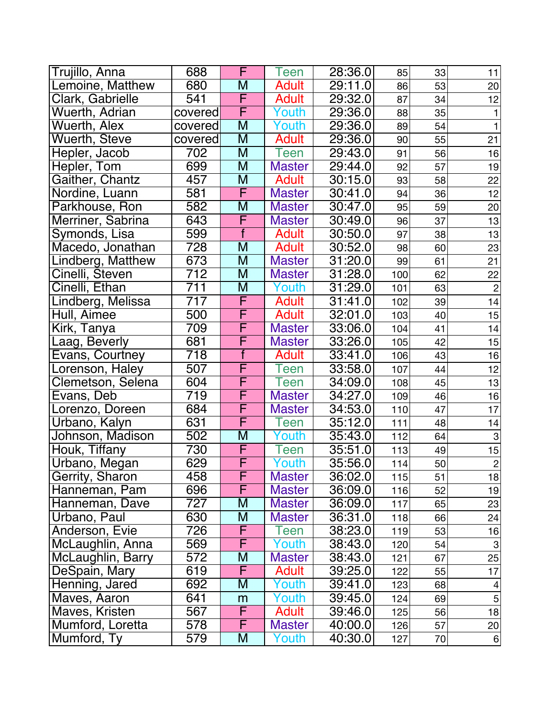| Trujillo, Anna    | 688              | F                       | Teen          | 28:36.0 | 85  | 33 | 11                        |
|-------------------|------------------|-------------------------|---------------|---------|-----|----|---------------------------|
| Lemoine, Matthew  | 680              | M                       | <b>Adult</b>  | 29:11.0 | 86  | 53 | 20                        |
| Clark, Gabrielle  | 541              | F                       | <b>Adult</b>  | 29:32.0 | 87  | 34 | 12                        |
| Wuerth, Adrian    | covered          | F                       | Youth         | 29:36.0 | 88  | 35 |                           |
| Wuerth, Alex      | covered          | M                       | Youth         | 29:36.0 | 89  | 54 | 1                         |
| Wuerth, Steve     | covered          | $\overline{\mathsf{M}}$ | <b>Adult</b>  | 29:36.0 | 90  | 55 | 21                        |
| Hepler, Jacob     | 702              | M                       | Teen          | 29:43.0 | 91  | 56 | 16                        |
| Hepler, Tom       | 699              | $\overline{\mathsf{M}}$ | <b>Master</b> | 29:44.0 | 92  | 57 | 19                        |
| Gaither, Chantz   | 457              | M                       | <b>Adult</b>  | 30:15.0 | 93  | 58 | 22                        |
| Nordine, Luann    | 581              | F                       | <b>Master</b> | 30:41.0 | 94  | 36 | 12                        |
| Parkhouse, Ron    | 582              | M                       | <b>Master</b> | 30:47.0 | 95  | 59 | 20                        |
| Merriner, Sabrina | 643              | F                       | <b>Master</b> | 30:49.0 | 96  | 37 | 13                        |
| Symonds, Lisa     | 599              | f                       | <b>Adult</b>  | 30:50.0 | 97  | 38 | 13                        |
| Macedo, Jonathan  | 728              | M                       | <b>Adult</b>  | 30:52.0 | 98  | 60 | 23                        |
| Lindberg, Matthew | 673              | M                       | <b>Master</b> | 31:20.0 | 99  | 61 | 21                        |
| Cinelli, Steven   | 712              | M                       | <b>Master</b> | 31:28.0 | 100 | 62 | 22                        |
| Cinelli, Ethan    | 711              | M                       | Youth         | 31:29.0 | 101 | 63 | $\overline{2}$            |
| Lindberg, Melissa | 717              | F                       | <b>Adult</b>  | 31:41.0 | 102 | 39 | 14                        |
| Hull, Aimee       | 500              | F                       | <b>Adult</b>  | 32:01.0 | 103 | 40 | 15                        |
| Kirk, Tanya       | 709              | F                       | <b>Master</b> | 33:06.0 | 104 | 41 | 14                        |
| aag, Beverly      | 681              | F                       | <b>Master</b> | 33:26.0 | 105 | 42 | 15                        |
| Evans, Courtney   | 718              | $\overline{f}$          | <b>Adult</b>  | 33:41.0 | 106 | 43 | 16                        |
| Lorenson, Haley   | 507              | F                       | <b>Teen</b>   | 33:58.0 | 107 | 44 | 12                        |
| Clemetson, Selena | 604              | F                       | <b>Teen</b>   | 34:09.0 | 108 | 45 | 13                        |
| Evans, Deb        | 719              | F                       | <b>Master</b> | 34:27.0 | 109 | 46 | 16                        |
| Lorenzo, Doreen   | 684              | F                       | <b>Master</b> | 34:53.0 | 110 | 47 | 17                        |
| Urbano, Kalyn     | 631              | F                       | Teen          | 35:12.0 | 111 | 48 | 14                        |
| Johnson, Madison  | 502              | M                       | Youth         | 35:43.0 | 112 | 64 | $\ensuremath{\mathsf{3}}$ |
| Houk, Tiffany     | $\overline{730}$ | F                       | Teen          | 35:51.0 | 113 | 49 | 15                        |
| Urbano, Megan     | 629              | F                       | Youth         | 35:56.0 | 114 | 50 | $\sqrt{2}$                |
| Gerrity, Sharon   | 458              | F                       | <b>Master</b> | 36:02.0 | 115 | 51 | 18                        |
| Hanneman, Pam     | 696              | F                       | <b>Master</b> | 36:09.0 | 116 | 52 | 19                        |
| Hanneman, Dave    | 727              | M                       | <b>Master</b> | 36:09.0 | 117 | 65 | 23                        |
| Urbano, Paul      | 630              | M                       | <b>Master</b> | 36:31.0 | 118 | 66 | 24                        |
| Anderson, Evie    | 726              | F                       | Teen          | 38:23.0 | 119 | 53 | 16                        |
| McLaughlin, Anna  | 569              | F                       | Youth         | 38:43.0 | 120 | 54 | $\ensuremath{\mathsf{3}}$ |
| McLaughlin, Barry | 572              | M                       | <b>Master</b> | 38:43.0 | 121 | 67 | 25                        |
| DeSpain, Mary     | 619              | F                       | <b>Adult</b>  | 39:25.0 | 122 | 55 | 17                        |
| Henning, Jared    | 692              | M                       | Youth         | 39:41.0 | 123 | 68 | 4                         |
| Maves, Aaron      | 641              | m                       | Youth         | 39:45.0 | 124 | 69 | $\mathbf 5$               |
| Maves, Kristen    | 567              | F                       | <b>Adult</b>  | 39:46.0 | 125 | 56 | 18                        |
| Mumford, Loretta  | 578              | F                       | <b>Master</b> | 40:00.0 | 126 | 57 | 20                        |
| Mumford, Ty       | 579              | M                       | Youth         | 40:30.0 | 127 | 70 | 6                         |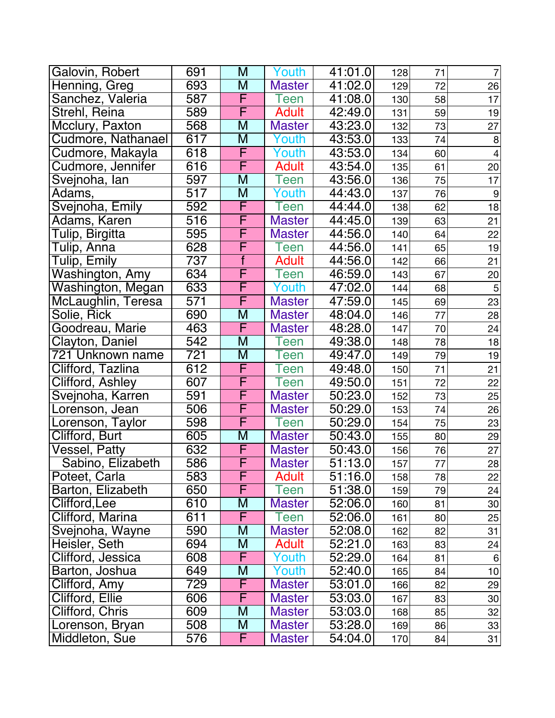| Galovin, Robert    | 691              | M                       | Youth         | 41:01.0              | 128 | 71 | $\overline{7}$ |
|--------------------|------------------|-------------------------|---------------|----------------------|-----|----|----------------|
| Henning, Greg      | 693              | M                       | <b>Master</b> | 41:02.0              | 129 | 72 | 26             |
| Sanchez, Valeria   | 587              | F                       | een           | 41:08.0              | 130 | 58 | 17             |
| Strehl, Reina      | 589              | F                       | <b>Adult</b>  | 42:49.0              | 131 | 59 | 19             |
| Mcclury, Paxton    | 568              | M                       | <b>Master</b> | 43:23.0              | 132 | 73 | 27             |
| Cudmore, Nathanael | 617              | $\overline{\mathsf{M}}$ | Youth         | 43:53.0              | 133 | 74 | 8              |
| Cudmore, Makayla   | $\overline{618}$ | F                       | Youth         | 43:53.0              | 134 | 60 | $\overline{4}$ |
| Cudmore, Jennifer  | 616              | F                       | <b>Adult</b>  | 43:54.0              | 135 | 61 | 20             |
| Svejnoha, lan      | 597              | M                       | Teen          | 43:56.0              | 136 | 75 | 17             |
| Adams,             | 517              | M                       | Youth         | 44:43.0              | 137 | 76 | 9              |
| Svejnoha, Emily    | 592              | F                       | een           | 44:44.0              | 138 | 62 | 18             |
| Adams, Karen       | 516              | F                       | <b>Master</b> | 44:45.0              | 139 | 63 | 21             |
| Tulip, Birgitta    | 595              | F                       | <b>Master</b> | 44:56.0              | 140 | 64 | 22             |
| Tulip, Anna        | 628              | F                       | Teen          | 44:56.0              | 141 | 65 | 19             |
| Tulip, Emily       | 737              | $\overline{f}$          | <b>Adult</b>  | 44:56.0              | 142 | 66 | 21             |
| Washington, Amy    | 634              | $\overline{\mathsf{F}}$ | Teen          | 46:59.0              | 143 | 67 | 20             |
| Washington, Megan  | 633              | F                       | Youth         | 47:02.0              | 144 | 68 | $\mathbf 5$    |
| McLaughlin, Teresa | 571              | F                       | <b>Master</b> | 47:59.0              | 145 | 69 | 23             |
| Solie, Rick        | 690              | M                       | <b>Master</b> | 48:04.0              | 146 | 77 | 28             |
| Goodreau, Marie    | 463              | F                       | <b>Master</b> | 48:28.0              | 147 | 70 | 24             |
| Clayton, Daniel    | 542              | M                       | een           | 49:38.0              | 148 | 78 | 18             |
| 721 Unknown name   | $\overline{721}$ | $\overline{\mathsf{M}}$ | een           | 49:47.0              | 149 | 79 | 19             |
| Clifford, Tazlina  | 612              | F                       | een           | 49:48.0              | 150 | 71 | 21             |
| Clifford, Ashley   | 607              | F                       | Teen          | 49:50.0              | 151 | 72 | 22             |
| Svejnoha, Karren   | 591              | F                       | <b>Master</b> | 50:23.0              | 152 | 73 | 25             |
| Lorenson, Jean     | 506              | F                       | <b>Master</b> | 50:29.0              | 153 | 74 | 26             |
| Lorenson, Taylor   | 598              | F                       | Teen          | 50:29.0              | 154 | 75 | 23             |
| Clifford, Burt     | 605              | M                       | <b>Master</b> | 50:43.0              | 155 | 80 | 29             |
| Vessel, Patty      | 632              | F                       | <b>Master</b> | 50:43.0              | 156 | 76 | 27             |
| Sabino, Elizabeth  | 586              | F                       | <b>Master</b> | 51:13.0              | 157 | 77 | 28             |
| Poteet, Carla      | 583              | F                       | <b>Adult</b>  | 51:16.0              | 158 | 78 | 22             |
| Barton, Elizabeth  | 650              | F                       | Teen          | $\overline{5}1:38.0$ | 159 | 79 | 24             |
| Clifford, Lee      | 610              | M                       | <b>Master</b> | 52:06.0              | 160 | 81 | 30             |
| Clifford, Marina   | 611              | F                       | een           | 52:06.0              | 161 | 80 | 25             |
| Svejnoha, Wayne    | 590              | M                       | <b>Master</b> | 52:08.0              | 162 | 82 | 31             |
| Heisler, Seth      | 694              | M                       | <b>Adult</b>  | 52:21.0              | 163 | 83 | 24             |
| Clifford, Jessica  | 608              | F                       | Youth         | 52:29.0              | 164 | 81 | 6              |
| Barton, Joshua     | 649              | M                       | Youth         | 52:40.0              | 165 | 84 | 10             |
| Clifford, Amy      | 729              | F                       | <b>Master</b> | 53:01.0              | 166 | 82 | 29             |
| Clifford, Ellie    | 606              | F                       | <b>Master</b> | 53:03.0              | 167 | 83 | 30             |
| Clifford, Chris    | 609              | M                       | <b>Master</b> | 53:03.0              | 168 | 85 | 32             |
| Lorenson, Bryan    | 508              | M                       | <b>Master</b> | 53:28.0              | 169 | 86 | 33             |
| Middleton, Sue     | 576              | F                       | <b>Master</b> | 54:04.0              | 170 | 84 | 31             |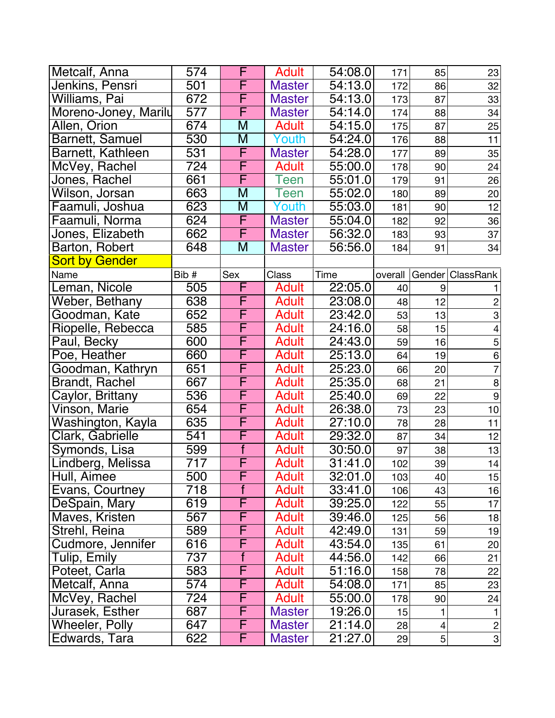| Metcalf, Anna          | 574             | F              | <b>Adult</b>  | 54:08.0              | 171     | 85             | 23                 |
|------------------------|-----------------|----------------|---------------|----------------------|---------|----------------|--------------------|
| Jenkins, Pensri        | 501             | F              | <b>Master</b> | 54:13.0              | 172     | 86             | 32                 |
| Williams, Pai          | 672             | F              | <b>Master</b> | 54:13.0              | 173     | 87             | 33                 |
| Moreno-Joney, Marily   | $\overline{57}$ | F              | <b>Master</b> | 54:14.0              | 174     | 88             | 34                 |
| Allen, Orion           | 674             | M              | <b>Adult</b>  | 54:15.0              | 175     | 87             | 25                 |
| <b>Barnett, Samuel</b> | 530             | M              | Youth         | 54:24.0              | 176     | 88             | 11                 |
| Barnett, Kathleen      | 531             | F              | <b>Master</b> | 54:28.0              | 177     | 89             | 35                 |
| McVey, Rachel          | 724             | F              | <b>Adult</b>  | 55:00.0              | 178     | 90             | 24                 |
| Jones, Rachel          | 661             | F              | Teen          | 55:01.0              | 179     | 91             | 26                 |
| Wilson, Jorsan         | 663             | M              | Teen          | 55:02.0              | 180     | 89             | 20                 |
| Faamuli, Joshua        | 623             | M              | Youth         | 55:03.0              | 181     | 90             | 12                 |
| Faamuli, Norma         | 624             | F              | <b>Master</b> | 55:04.0              | 182     | 92             | 36                 |
| Jones, Elizabeth       | 662             | F              | <b>Master</b> | 56:32.0              | 183     | 93             | 37                 |
| Barton, Robert         | 648             | M              | <b>Master</b> | 56:56.0              | 184     | 91             | 34                 |
| Sort by Gender         |                 |                |               |                      |         |                |                    |
| Name                   | Bib #           | Sex            | Class         | Time                 | overall |                | Gender   ClassRank |
| Leman, Nicole          | 505             | F              | Adult         | 22:05.0              | 40      | 9              |                    |
| Weber, Bethany         | 638             | F              | <b>Adult</b>  | 23:08.0              | 48      | 12             | $\overline{c}$     |
| Goodman, Kate          | 652             | F              | Adult         | 23:42.0              | 53      | 13             | 3                  |
| Riopelle, Rebecca      | 585             | F              | <b>Adult</b>  | 24:16.0              | 58      | 15             | 4                  |
| Paul, Becky            | 600             | F              | <b>Adult</b>  | 24:43.0              | 59      | 16             | $\overline{5}$     |
| Poe, Heather           | 660             | F              | <b>Adult</b>  | 25:13.0              | 64      | 19             | $\overline{6}$     |
| Goodman, Kathryn       | 651             | F              | <b>Adult</b>  | 25:23.0              | 66      | 20             | $\overline{7}$     |
| <b>Brandt, Rachel</b>  | 667             | F              | <b>Adult</b>  | 25:35.0              | 68      | 21             | $\bf 8$            |
| Caylor, Brittany       | 536             | F              | <b>Adult</b>  | 25:40.0              | 69      | 22             | $\overline{9}$     |
| Vinson, Marie          | 654             | F              | <b>Adult</b>  | 26:38.0              | 73      | 23             | 10                 |
| Washington, Kayla      | 635             | F              | <b>Adult</b>  | 27:10.0              | 78      | 28             | 11                 |
| Clark, Gabrielle       | 541             | F              | <b>Adult</b>  | 29:32.0              | 87      | 34             | 12                 |
| Symonds, Lisa          | 599             | $\overline{f}$ | <b>Adult</b>  | 30:50.0              | 97      | 38             | 13                 |
| Lindberg, Melissa      | 717             | F              | <b>Adult</b>  | 31:41.0              | 102     | 39             | 14                 |
| Hull, Aimee            | 500             | F              | <b>Adult</b>  | 32:01.0              | 103     | 40             | 15                 |
| Evans, Courtney        | 718             |                | <b>Adult</b>  | 33:41.0              | 106     | 43             | 16                 |
| DeSpain, Mary          | 619             | F              | Adult         | 39:25.0              | 122     | 55             | 17                 |
| Maves, Kristen         | 567             | F              | <b>Adult</b>  | 39:46.0              | 125     | 56             | 18                 |
| Strehl, Reina          | 589             | F              | <b>Adult</b>  | 42:49.0              | 131     | 59             | 19                 |
| Cudmore, Jennifer      | 616             | F              | <b>Adult</b>  | 43:54.0              | 135     | 61             | 20 <sub>2</sub>    |
| Tulip, Emily           | 737             | f              | <b>Adult</b>  | 44:56.0              | 142     | 66             | 21                 |
| Poteet, Carla          | 583             | F              | <b>Adult</b>  | 51:16.0              | 158     | 78             | 22                 |
| Metcalf, Anna          | 574             | F              | <b>Adult</b>  | 54:08.0              | 171     | 85             | 23                 |
| McVey, Rachel          | 724             | F              | <b>Adult</b>  | 55:00.0              | 178     | 90             | 24                 |
| Jurasek, Esther        | 687             | F              | <b>Master</b> | 19:26.0              | 15      |                | $\mathbf{1}$       |
| <b>Wheeler, Polly</b>  | 647             | F              | <b>Master</b> | 21:14.0              | 28      | 4              | $\overline{c}$     |
| Edwards, Tara          | 622             | $\overline{F}$ | <b>Master</b> | $\overline{2}1:27.0$ | 29      | 5 <sup>1</sup> | $3\vert$           |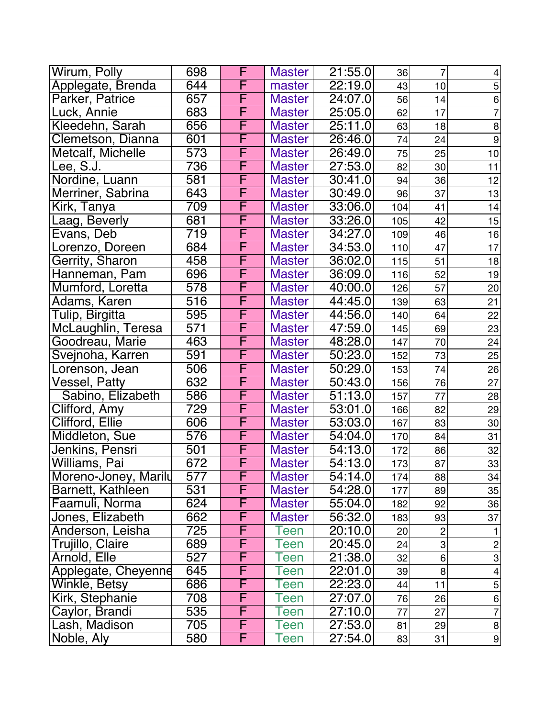| Wirum, Polly         | 698              | F                       | <b>Master</b> | 21:55.0               | 36  | $\overline{7}$ | $\overline{\mathcal{A}}$  |
|----------------------|------------------|-------------------------|---------------|-----------------------|-----|----------------|---------------------------|
| Applegate, Brenda    | 644              | F                       | master        | 22:19.0               | 43  | 10             | $\mathbf 5$               |
| Parker, Patrice      | 657              | F                       | <b>Master</b> | 24:07.0               | 56  | 14             | $\overline{6}$            |
| Luck, Annie          | 683              | F                       | <b>Master</b> | 25:05.0               | 62  | 17             | $\overline{7}$            |
| Kleedehn, Sarah      | 656              | F                       | <b>Master</b> | 25:11.0               | 63  | 18             | $\, 8$                    |
| Clemetson, Dianna    | 601              | F                       | <b>Master</b> | 26:46.0               | 74  | 24             | $\overline{9}$            |
| Metcalf, Michelle    | 573              | F                       | <b>Master</b> | 26:49.0               | 75  | 25             | $10$                      |
| Lee, S.J.            | 736              | F                       | <b>Master</b> | 27:53.0               | 82  | 30             | 11                        |
| Nordine, Luann       | 581              | F                       | <b>Master</b> | 30:41.0               | 94  | 36             | 12                        |
| Merriner, Sabrina    | 643              | F                       | <b>Master</b> | 30:49.0               | 96  | 37             | 13                        |
| Kirk, Tanya          | 709              | F                       | <b>Master</b> | 33:06.0               | 104 | 41             | 14                        |
| Laag, Beverly        | 681              | F                       | <b>Master</b> | 33:26.0               | 105 | 42             | 15                        |
| Evans, Deb           | 719              | F                       | <b>Master</b> | 34:27.0               | 109 | 46             | 16                        |
| Lorenzo, Doreen      | 684              | F                       | <b>Master</b> | 34:53.0               | 110 | 47             | 17                        |
| Gerrity, Sharon      | 458              | F                       | <b>Master</b> | 36:02.0               | 115 | 51             | 18                        |
| Hanneman, Pam        | 696              | F                       | <b>Master</b> | 36:09.0               | 116 | 52             | 19                        |
| Mumford, Loretta     | 578              | F                       | <b>Master</b> | 40:00.0               | 126 | 57             | 20                        |
| Adams, Karen         | $\overline{516}$ | $\overline{\mathsf{F}}$ | <b>Master</b> | 44:45.0               | 139 | 63             | 21                        |
| Tulip, Birgitta      | 595              | $\overline{\mathsf{F}}$ | <b>Master</b> | 44:56.0               | 140 | 64             | 22                        |
| McLaughlin, Teresa   | 571              | F                       | <b>Master</b> | 47:59.0               | 145 | 69             | 23                        |
| Goodreau, Marie      | 463              | F                       | <b>Master</b> | 48:28.0               | 147 | 70             | 24                        |
| Svejnoha, Karren     | 591              | F                       | <b>Master</b> | 50:23.0               | 152 | 73             | 25                        |
| orenson, Jean.       | 506              | F                       | <b>Master</b> | 50:29.0               | 153 | 74             | 26                        |
| Vessel, Patty        | 632              | F                       | <b>Master</b> | 50:43.0               | 156 | 76             | 27                        |
| Sabino, Elizabeth    | 586              | F                       | <b>Master</b> | 51:13.0               | 157 | 77             | 28                        |
| Clifford, Amy        | 729              | F                       | <b>Master</b> | 53:01.0               | 166 | 82             | 29                        |
| Clifford, Ellie      | 606              | $\overline{\mathsf{F}}$ | <b>Master</b> | 53:03.0               | 167 | 83             | 30                        |
| Middleton, Sue       | 576              | F                       | <b>Master</b> | 54:04.0               | 170 | 84             | 31                        |
| Jenkins, Pensri      | 501              | F                       | <b>Master</b> | 54:13.0               | 172 | 86             | 32                        |
| Williams, Pai        | 672              | F                       | <b>Master</b> | 54:13.0               | 173 | 87             | 33                        |
| Moreno-Joney, Marily | 577              | F                       | <b>Master</b> | 54:14.0               | 174 | 88             | 34                        |
| Barnett, Kathleen    | 531              | F                       | <b>Master</b> | 54:28.0               | 177 | 89             | 35                        |
| Faamuli, Norma       | 624              | F                       | <b>Master</b> | 55:04.0               | 182 | 92             | 36                        |
| Jones, Elizabeth     | 662              | F                       | <b>Master</b> | 56:32.0               | 183 | 93             | 37                        |
| Anderson, Leisha     | 725              | F                       | Teen          | 20:10.0               | 20  | 2              |                           |
| Trujillo, Claire     | 689              | F                       | Teen          | 20:45.0               | 24  | $\overline{3}$ | $\overline{c}$            |
| Arnold, Elle         | 527              | F                       | Teen          | 21:38.0               | 32  | 6 <sup>1</sup> | $\ensuremath{\mathsf{3}}$ |
| Applegate, Cheyenne  | 645              | F                       | een           | 22:01.0               | 39  | 8 <sup>1</sup> | 4                         |
| Winkle, Betsy        | 686              | F                       | Teen          | 22:23.0               | 44  | 11             | $\mathbf 5$               |
| Kirk, Stephanie      | 708              | F                       | een           | 27:07.0               | 76  | 26             | 6                         |
| Caylor, Brandi       | 535              | F                       | Teen          | 27:10.0               | 77  | 27             | $\overline{7}$            |
| Lash, Madison        | 705              | F                       | Teen          | $\overline{27}$ :53.0 | 81  | 29             | $\bf 8$                   |
| Noble, Aly           | 580              | F                       | Teen          | 27:54.0               | 83  | 31             | 9                         |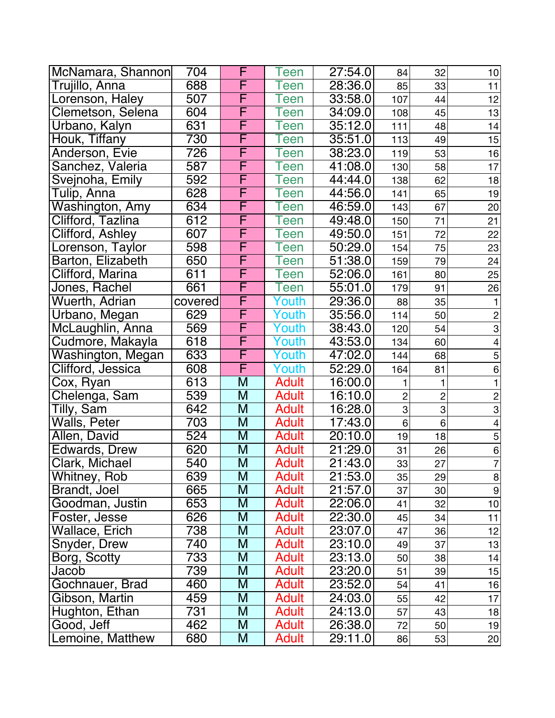| McNamara, Shannon     | 704              | F                       | Teen         | 27:54.0 | 84                        | 32             | 10                       |
|-----------------------|------------------|-------------------------|--------------|---------|---------------------------|----------------|--------------------------|
| Trujillo, Anna        | 688              | F                       | Teen         | 28:36.0 | 85                        | 33             | 11                       |
| Lorenson, Haley       | 507              | F                       | een          | 33:58.0 | 107                       | 44             | 12                       |
| Clemetson, Selena     | 604              | F                       | een          | 34:09.0 | 108                       | 45             | 13                       |
| Urbano, Kalyn         | 631              | F                       | een          | 35:12.0 | 111                       | 48             | 14                       |
| Houk, Tiffany         | 730              | F                       | een          | 35:51.0 | 113                       | 49             | 15                       |
| Anderson, Evie        | 726              | F                       | een          | 38:23.0 | 119                       | 53             | 16                       |
| Sanchez, Valeria      | 587              | F                       | een          | 41:08.0 | 130                       | 58             | 17                       |
| Svejnoha, Emily       | 592              | F                       | een          | 44:44.0 | 138                       | 62             | 18                       |
| Tulip, Anna           | 628              | F                       | een          | 44:56.0 | 141                       | 65             | 19                       |
| Washington, Amy       | 634              | F                       | een          | 46:59.0 | 143                       | 67             | 20                       |
| Clifford, Tazlina     | 612              | F                       | een          | 49:48.0 | 150                       | 71             | 21                       |
| Clifford, Ashley      | 607              | F                       | een          | 49:50.0 | 151                       | 72             | 22                       |
| Lorenson, Taylor      | 598              | F                       | een          | 50:29.0 | 154                       | 75             | 23                       |
| Barton, Elizabeth     | 650              | F                       | een          | 51:38.0 | 159                       | 79             | 24                       |
| Clifford, Marina      | 611              | F                       | een          | 52:06.0 | 161                       | 80             | 25                       |
| Jones, Rachel         | 661              | F                       | een          | 55:01.0 | 179                       | 91             | 26                       |
| <b>Wuerth, Adrian</b> | covered          | F                       | Youth        | 29:36.0 | 88                        | 35             | 1                        |
| Urbano, Megan         | 629              | F                       | Youth        | 35:56.0 | 114                       | 50             | $\overline{c}$           |
| McLaughlin, Anna      | 569              | F                       | outh         | 38:43.0 | 120                       | 54             | $\mbox{3}$               |
| Cudmore, Makayla      | 618              | F                       | Youth        | 43:53.0 | 134                       | 60             | $\overline{4}$           |
| Washington, Megan     | 633              | F                       | Youth        | 47:02.0 | 144                       | 68             | $\overline{5}$           |
| Clifford, Jessica     | 608              | F                       | Youth        | 52:29.0 | 164                       | 81             | 6                        |
| Cox, Ryan             | 613              | M                       | <b>Adult</b> | 16:00.0 | 1                         | 1              | 1                        |
| Chelenga, Sam         | 539              | $\overline{\mathsf{M}}$ | <b>Adult</b> | 16:10.0 | $\overline{c}$            | $\overline{c}$ | $\overline{2}$           |
| Tilly, Sam            | 642              | M                       | <b>Adult</b> | 16:28.0 | $\ensuremath{\mathsf{3}}$ | 3              | 3                        |
| Walls, Peter          | $\overline{703}$ | M                       | <b>Adult</b> | 17:43.0 | 6                         | 6              | $\overline{\mathcal{L}}$ |
| Allen, David          | 524              | M                       | <b>Adult</b> | 20:10.0 | 19                        | 18             | 5                        |
| Edwards, Drew         | 620              | M                       | <b>Adult</b> | 21:29.0 | 31                        | 26             | 6                        |
| Clark, Michael        | 540              | M                       | <b>Adult</b> | 21:43.0 | 33                        | 27             | $\overline{7}$           |
| Whitney, Rob          | 639              | M                       | <b>Adult</b> | 21:53.0 | 35                        | 29             | 8                        |
| Brandt, Joel          | 665              | M                       | <b>Adult</b> | 21:57.0 | 37                        | 30             | 9                        |
| Goodman, Justin       | 653              | M                       | <b>Adult</b> | 22:06.0 | 41                        | 32             | 10                       |
| Foster, Jesse         | 626              | M                       | <b>Adult</b> | 22:30.0 | 45                        | 34             | 11                       |
| Wallace, Erich        | 738              | M                       | <b>Adult</b> | 23:07.0 | 47                        | 36             | 12                       |
| Snyder, Drew          | 740              | M                       | <b>Adult</b> | 23:10.0 | 49                        | 37             | 13                       |
| Borg, Scotty          | 733              | M                       | <b>Adult</b> | 23:13.0 | 50                        | 38             | 14                       |
| Jacob                 | 739              | M                       | <b>Adult</b> | 23:20.0 | 51                        | 39             | 15                       |
| Gochnauer, Brad       | 460              | M                       | <b>Adult</b> | 23:52.0 | 54                        | 41             | 16                       |
| Gibson, Martin        | 459              | M                       | <b>Adult</b> | 24:03.0 | 55                        | 42             | 17                       |
| Hughton, Ethan        | 731              | M                       | Adult        | 24:13.0 | 57                        | 43             | 18                       |
| Good, Jeff            | 462              | M                       | Adult        | 26:38.0 | 72                        | 50             | 19                       |
| Lemoine, Matthew      | 680              | M                       | <b>Adult</b> | 29:11.0 | 86                        | 53             | 20                       |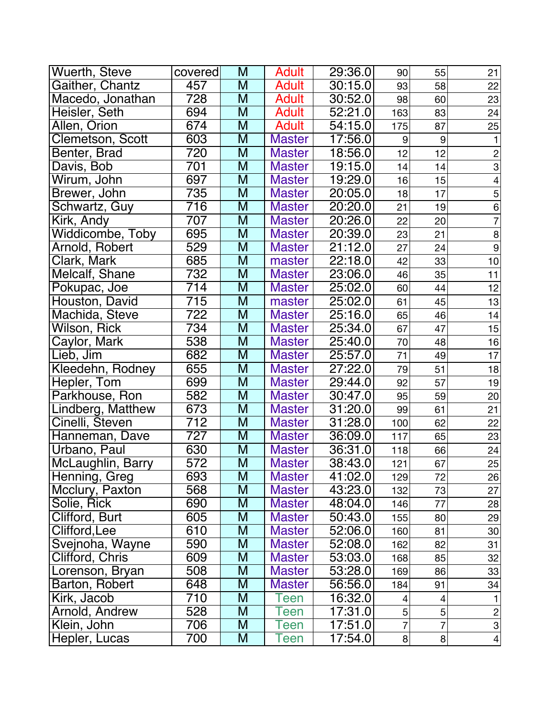| Wuerth, Steve     | covered           | M                       | <b>Adult</b>  | 29:36.0              | 90  | 55               | 21              |
|-------------------|-------------------|-------------------------|---------------|----------------------|-----|------------------|-----------------|
| Gaither, Chantz   | 457               | M                       | <b>Adult</b>  | 30:15.0              | 93  | 58               | 22              |
| Macedo, Jonathan  | $\overline{728}$  | $\overline{\mathsf{M}}$ | <b>Adult</b>  | 30:52.0              | 98  | 60               | 23              |
| Heisler, Seth     | 694               | $\overline{\mathsf{M}}$ | <b>Adult</b>  | 52:21.0              | 163 | 83               | 24              |
| Allen, Orion      | $\overline{67}$ 4 | $\overline{\mathsf{M}}$ | <b>Adult</b>  | $\overline{54:15.0}$ | 175 | 87               | 25              |
| Clemetson, Scott  | 603               | M                       | <b>Master</b> | 17:56.0              | 9   | $\boldsymbol{9}$ | $\mathbf{1}$    |
| Benter, Brad      | 720               | M                       | <b>Master</b> | 18:56.0              | 12  | 12               | $\overline{c}$  |
| Davis, Bob        | 701               | M                       | <b>Master</b> | 19:15.0              | 14  | 14               | $\overline{3}$  |
| Wirum, John       | 697               | M                       | <b>Master</b> | 19:29.0              | 16  | 15               | $\overline{4}$  |
| Brewer, John      | 735               | M                       | <b>Master</b> | 20:05.0              | 18  | 17               | 5               |
| Schwartz, Guy     | $\overline{716}$  | M                       | <b>Master</b> | 20:20.0              | 21  | 19               | $\frac{6}{7}$   |
| Kirk, Andy        | 707               | M                       | <b>Master</b> | 20:26.0              | 22  | 20               |                 |
| Widdicombe, Toby  | 695               | M                       | <b>Master</b> | 20:39.0              | 23  | 21               | 8               |
| Arnold, Robert    | 529               | M                       | <b>Master</b> | 21:12.0              | 27  | 24               | $\overline{9}$  |
| Clark, Mark       | 685               | M                       | master        | 22:18.0              | 42  | 33               | 10              |
| Melcalf, Shane    | 732               | M                       | <b>Master</b> | 23:06.0              | 46  | 35               | 11              |
| Pokupac, Joe      | 714               | $\overline{\mathsf{M}}$ | <b>Master</b> | 25:02.0              | 60  | 44               | 12              |
| Houston, David    | 715               | M                       | master        | 25:02.0              | 61  | 45               | 13              |
| Machida, Steve    | $\overline{722}$  | $\overline{\mathsf{M}}$ | <b>Master</b> | 25:16.0              | 65  | 46               | 14              |
| Wilson, Rick      | 734               | M                       | <b>Master</b> | 25:34.0              | 67  | 47               | 15              |
| Caylor, Mark      | 538               | $\overline{\mathsf{M}}$ | <b>Master</b> | 25:40.0              | 70  | 48               | 16              |
| Lieb, Jim         | 682               | M                       | <b>Master</b> | 25:57.0              | 71  | 49               | 17              |
| Kleedehn, Rodney  | 655               | M                       | <b>Master</b> | 27:22.0              | 79  | 51               | 18              |
| Hepler, Tom       | 699               | M                       | <b>Master</b> | 29:44.0              | 92  | 57               | 19              |
| Parkhouse, Ron    | 582               | M                       | <b>Master</b> | 30:47.0              | 95  | 59               | 20              |
| Lindberg, Matthew | 673               | M                       | <b>Master</b> | 31:20.0              | 99  | 61               | 21              |
| Cinelli, Steven   | $\overline{712}$  | M                       | <b>Master</b> | 31:28.0              | 100 | 62               | 22              |
| Hanneman, Dave    | $\overline{727}$  | $\overline{\mathsf{M}}$ | <b>Master</b> | 36:09.0              | 117 | 65               | 23              |
| Urbano, Paul      | 630               | M                       | <b>Master</b> | 36:31.0              | 118 | 66               | 24              |
| McLaughlin, Barry | 572               | $\overline{\mathsf{M}}$ | <b>Master</b> | 38:43.0              | 121 | 67               | 25              |
| Henning, Greg     | 693               | M                       | <b>Master</b> | 41:02.0              | 129 | 72               | 26              |
| Mcclury, Paxton   | 568               | M                       | <b>Master</b> | 43:23.0              | 132 | 73               | 27              |
| Solie, Rick       | 690               | M                       | <b>Master</b> | 48:04.0              | 146 | 77               | 28              |
| Clifford, Burt    | 605               | M                       | <b>Master</b> | 50:43.0              | 155 | 80               | 29              |
| Clifford, Lee     | 610               | M                       | <b>Master</b> | 52:06.0              | 160 | 81               | 30              |
| Svejnoha, Wayne   | 590               | M                       | <b>Master</b> | 52:08.0              | 162 | 82               | 31              |
| Clifford, Chris   | 609               | M                       | <b>Master</b> | 53:03.0              | 168 | 85               | 32              |
| Lorenson, Bryan   | 508               | M                       | <b>Master</b> | 53:28.0              | 169 | 86               | 33              |
| Barton, Robert    | 648               | M                       | <b>Master</b> | 56:56.0              | 184 | 91               | 34              |
| Kirk, Jacob       | 710               | M                       | Teen          | 16:32.0              | 4   | 4                |                 |
| Arnold, Andrew    | 528               | M                       | Teen          | 17:31.0              | 5   | 5                | $\overline{c}$  |
| Klein, John       | 706               | M                       | Teen          | 17:51.0              | 7   | 7                | $\mathbf{3}$    |
| Hepler, Lucas     | 700               | M                       | <b>Teen</b>   | 17:54.0              | 8   | 8 <sup>1</sup>   | $\vert 4 \vert$ |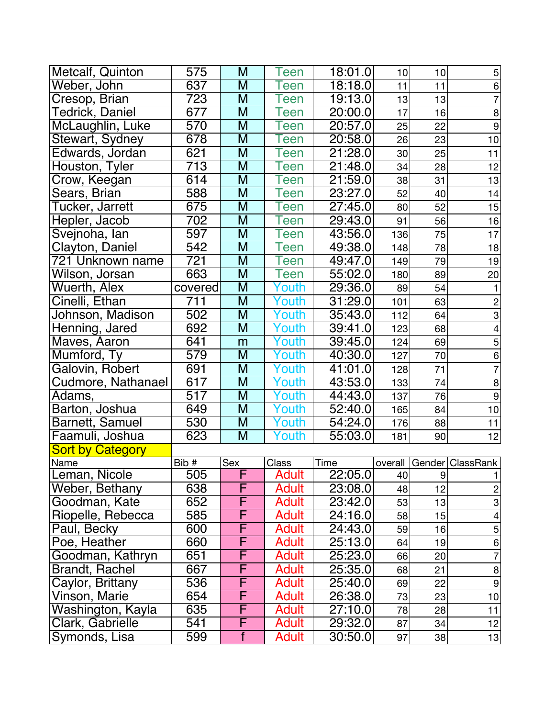| <b>Metcalf, Quinton</b> | 575              | M                       | Teen         | 18:01.0 | 10      | 10 | $\mathbf 5$               |
|-------------------------|------------------|-------------------------|--------------|---------|---------|----|---------------------------|
| Weber, John             | 637              | M                       | <b>Teen</b>  | 18:18.0 | 11      | 11 | $\,6\,$                   |
| Cresop, Brian           | 723              | M                       | Teen         | 19:13.0 | 13      | 13 | $\overline{7}$            |
| <b>Tedrick, Daniel</b>  | 677              | M                       | Teen         | 20:00.0 | 17      | 16 | $\bf8$                    |
| McLaughlin, Luke        | 570              | M                       | Teen         | 20:57.0 | 25      | 22 | $\overline{9}$            |
| Stewart, Sydney         | 678              | M                       | Teen         | 20:58.0 | 26      | 23 | 10                        |
| Edwards, Jordan         | 621              | M                       | Teen         | 21:28.0 | 30      | 25 | 11                        |
| Houston, Tyler          | $\overline{713}$ | M                       | Teen         | 21:48.0 | 34      | 28 | 12                        |
| Crow, Keegan            | 614              | M                       | Teen         | 21:59.0 | 38      | 31 | 13                        |
| Sears, Brian            | 588              | M                       | Teen         | 23:27.0 | 52      | 40 | 14                        |
| Tucker, Jarrett         | 675              | $\overline{\mathsf{M}}$ | Teen         | 27:45.0 | 80      | 52 | 15                        |
| Hepler, Jacob           | 702              | M                       | Teen         | 29:43.0 | 91      | 56 | 16                        |
| Svejnoha, lan           | 597              | M                       | Teen         | 43:56.0 | 136     | 75 | 17                        |
| Clayton, Daniel         | 542              | M                       | Teen         | 49:38.0 | 148     | 78 | 18                        |
| 721 Unknown name        | 721              | M                       | Teen         | 49:47.0 | 149     | 79 | 19                        |
| Wilson, Jorsan          | 663              | M                       | Teen         | 55:02.0 | 180     | 89 | 20                        |
| Wuerth, Alex            | covered          | M                       | Youth        | 29:36.0 | 89      | 54 | 1                         |
| Cinelli, Ethan          | 711              | M                       | Youth        | 31:29.0 | 101     | 63 | $\overline{c}$            |
| Johnson, Madison        | 502              | M                       | Youth        | 35:43.0 | 112     | 64 | $\overline{3}$            |
| Henning, Jared          | 692              | M                       | Youth        | 39:41.0 | 123     | 68 | $\overline{\mathbf{4}}$   |
| Maves, Aaron            | 641              | m                       | Youth        | 39:45.0 | 124     | 69 | 5                         |
| Mumford, Ty             | 579              | $\overline{M}$          | Youth        | 40:30.0 | 127     | 70 | $\,6\,$                   |
| Galovin, Robert         | 691              | M                       | Youth        | 41:01.0 | 128     | 71 | $\overline{7}$            |
| Cudmore, Nathanael      | 617              | $\overline{\mathsf{M}}$ | Youth        | 43:53.0 | 133     | 74 | $\bf8$                    |
| Adams,                  | 517              | $\overline{M}$          | Youth        | 44:43.0 | 137     | 76 | $\overline{9}$            |
| Barton, Joshua          | 649              | M                       | Youth        | 52:40.0 | 165     | 84 | 10                        |
| <b>Barnett, Samuel</b>  | 530              | M                       | Youth        | 54:24.0 | 176     | 88 | 11                        |
| Faamuli, Joshua         | 623              | $\overline{\mathsf{M}}$ | Youth        | 55:03.0 | 181     | 90 | 12                        |
| <b>Sort by Category</b> |                  |                         |              |         |         |    |                           |
| Name                    | Bib #            | Sex                     | Class        | Time    | overall |    | Gender   ClassRank        |
| Leman, Nicole           | 505              | ۲                       | <b>Adult</b> | 22:05.0 | 40      | 9  | 1                         |
| <b>Weber, Bethany</b>   | 638              |                         | <b>Adult</b> | 23:08.0 | 48      | 12 | $\overline{c}$            |
| Goodman, Kate           | 652              | F                       | Adult        | 23:42.0 | 53      | 13 | $\ensuremath{\mathsf{3}}$ |
| Riopelle, Rebecca       | 585              | F                       | <b>Adult</b> | 24:16.0 | 58      | 15 | $\overline{\mathcal{A}}$  |
| Paul, Becky             | 600              | F                       | <b>Adult</b> | 24:43.0 | 59      | 16 | $\mathbf 5$               |
| Poe, Heather            | 660              | F                       | <b>Adult</b> | 25:13.0 | 64      | 19 | 6                         |
| Goodman, Kathryn        | 651              | F                       | <b>Adult</b> | 25:23.0 | 66      | 20 | $\overline{7}$            |
| <b>Brandt, Rachel</b>   | 667              | F                       | <b>Adult</b> | 25:35.0 | 68      | 21 | $\boldsymbol{8}$          |
| Caylor, Brittany        | 536              | F                       | <b>Adult</b> | 25:40.0 | 69      | 22 | $\boldsymbol{9}$          |
| Vinson, Marie           | 654              | F                       | <b>Adult</b> | 26:38.0 | 73      | 23 | 10                        |
| Washington, Kayla       | 635              | F                       | Adult        | 27:10.0 | 78      | 28 | 11                        |
| Clark, Gabrielle        | 541              | F                       | <b>Adult</b> | 29:32.0 | 87      | 34 | 12                        |
| Symonds, Lisa           | 599              | $\overline{f}$          | Adult        | 30:50.0 | 97      | 38 | 13                        |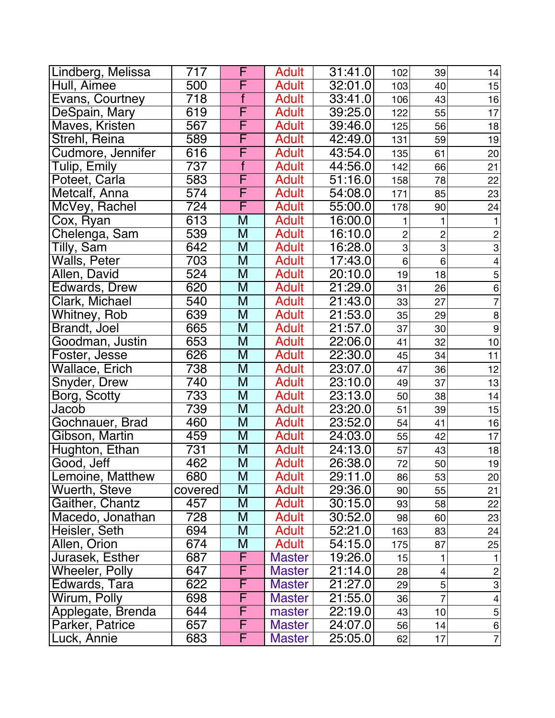| Lindberg, Melissa     | 717              | F                       | <b>Adult</b>  | 31:41.0 | 102                       | 39             | 14                        |
|-----------------------|------------------|-------------------------|---------------|---------|---------------------------|----------------|---------------------------|
| Hull, Aimee           | 500              | F                       | <b>Adult</b>  | 32:01.0 | 103                       | 40             | 15                        |
| Evans, Courtney       | 718              | $\overline{f}$          | <b>Adult</b>  | 33:41.0 | 106                       | 43             | 16                        |
| DeSpain, Mary         | 619              | F                       | <b>Adult</b>  | 39:25.0 | 122                       | 55             | 17                        |
| Maves, Kristen        | 567              | F                       | <b>Adult</b>  | 39:46.0 | 125                       | 56             | 18                        |
| Strehl, Reina         | 589              | F                       | <b>Adult</b>  | 42:49.0 | 131                       | 59             | 19                        |
| Cudmore, Jennifer     | 616              | F                       | <b>Adult</b>  | 43:54.0 | 135                       | 61             | 20                        |
| Tulip, Emily          | 737              | $\overline{f}$          | <b>Adult</b>  | 44:56.0 | 142                       | 66             | 21                        |
| Poteet, Carla         | 583              | F                       | <b>Adult</b>  | 51:16.0 | 158                       | 78             | 22                        |
| Metcalf, Anna         | 574              | F                       | <b>Adult</b>  | 54:08.0 | 171                       | 85             | 23                        |
| McVey, Rachel         | 724              | F                       | <b>Adult</b>  | 55:00.0 | 178                       | 90             | 24                        |
| Cox, Ryan             | 613              | M                       | <b>Adult</b>  | 16:00.0 |                           |                | 1                         |
| Chelenga, Sam         | 539              | M                       | <b>Adult</b>  | 16:10.0 | $\overline{c}$            | $\overline{c}$ | $\overline{c}$            |
| Tilly, Sam            | 642              | M                       | <b>Adult</b>  | 16:28.0 | $\ensuremath{\mathsf{3}}$ | 3              | $\overline{3}$            |
| Walls, Peter          | 703              | M                       | <b>Adult</b>  | 17:43.0 | 6                         | $6\phantom{1}$ | $\overline{4}$            |
| Allen, David          | 524              | M                       | <b>Adult</b>  | 20:10.0 | 19                        | 18             | 5                         |
| Edwards, Drew         | 620              | M                       | <b>Adult</b>  | 21:29.0 | 31                        | 26             | $\overline{6}$            |
| Clark, Michael        | 540              | M                       | <b>Adult</b>  | 21:43.0 | 33                        | 27             | $\overline{7}$            |
| Whitney, Rob          | 639              | M                       | <b>Adult</b>  | 21:53.0 | 35                        | 29             | 8                         |
| Brandt, Joel          | 665              | M                       | <b>Adult</b>  | 21:57.0 | 37                        | 30             | $\boldsymbol{9}$          |
| Goodman, Justin       | 653              | $\overline{\mathsf{M}}$ | <b>Adult</b>  | 22:06.0 | 41                        | 32             | 10                        |
| Foster, Jesse         | 626              | M                       | <b>Adult</b>  | 22:30.0 | 45                        | 34             | 11                        |
| Wallace, Erich        | 738              | $\overline{\mathsf{M}}$ | <b>Adult</b>  | 23:07.0 | 47                        | 36             | 12                        |
| Snyder, Drew          | 740              | M                       | <b>Adult</b>  | 23:10.0 | 49                        | 37             | 13                        |
| Borg, Scotty          | 733              | $\overline{M}$          | <b>Adult</b>  | 23:13.0 | 50                        | 38             | 14                        |
| Jacob                 | 739              | M                       | <b>Adult</b>  | 23:20.0 | 51                        | 39             | 15                        |
| Gochnauer, Brad       | 460              | M                       | <b>Adult</b>  | 23:52.0 | 54                        | 41             | 16                        |
| Gibson, Martin        | 459              | M                       | <b>Adult</b>  | 24:03.0 | 55                        | 42             | 17                        |
| Hughton, Ethan        | $\overline{731}$ | M                       | <b>Adult</b>  | 24:13.0 | 57                        | 43             | 18                        |
| Good, Jeff            | 462              | M                       | <b>Adult</b>  | 26:38.0 | 72                        | 50             | 19                        |
| Lemoine, Matthew      | 680              | M                       | Adult         | 29:11.0 | 86                        | 53             | 20                        |
| Wuerth, Steve         | covered          | M                       | Adult         | 29:36.0 | 90                        | 55             | 21                        |
| Gaither, Chantz       | 457              | M                       | <b>Adult</b>  | 30:15.0 | 93                        | 58             | 22                        |
| Macedo, Jonathan      | 728              | M                       | <b>Adult</b>  | 30:52.0 | 98                        | 60             | 23                        |
| Heisler, Seth         | 694              | M                       | <b>Adult</b>  | 52:21.0 | 163                       | 83             | 24                        |
| Allen, Orion          | 674              | M                       | <b>Adult</b>  | 54:15.0 | 175                       | 87             | 25                        |
| Jurasek, Esther       | 687              | F                       | <b>Master</b> | 19:26.0 | 15                        |                |                           |
| <b>Wheeler, Polly</b> | 647              | F                       | <b>Master</b> | 21:14.0 | 28                        | 4              | $\sqrt{2}$                |
| Edwards, Tara         | 622              | F                       | <b>Master</b> | 21:27.0 | 29                        | 5 <sup>1</sup> | $\ensuremath{\mathsf{3}}$ |
| Wirum, Polly          | 698              | F                       | <b>Master</b> | 21:55.0 | 36                        | $\overline{7}$ | $\overline{4}$            |
| Applegate, Brenda     | 644              | F                       | master        | 22:19.0 | 43                        | 10             | $\mathbf 5$               |
| Parker, Patrice       | 657              | F                       | <b>Master</b> | 24:07.0 | 56                        | 14             | $\,6$                     |
| Luck, Annie           | 683              | F                       | <b>Master</b> | 25:05.0 | 62                        | 17             | $\overline{7}$            |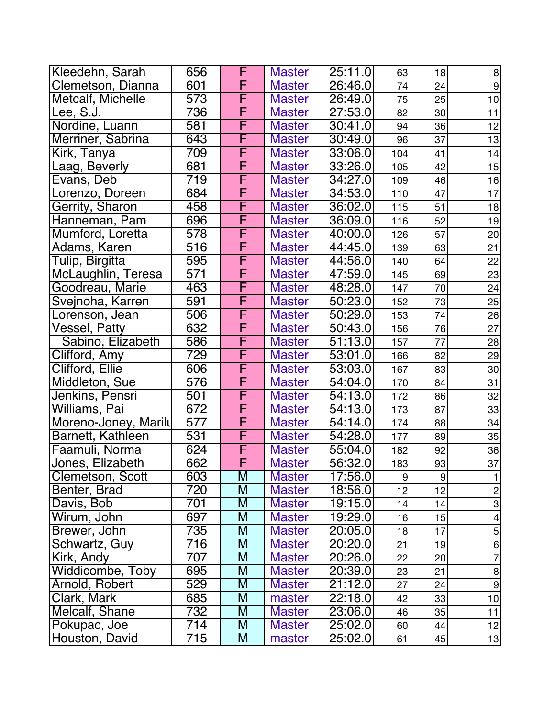| Kleedehn, Sarah      | 656              | F                       | <b>Master</b> | 25:11.0              | 63  | 18 | 8                         |
|----------------------|------------------|-------------------------|---------------|----------------------|-----|----|---------------------------|
| Clemetson, Dianna    | 601              | F                       | <b>Master</b> | 26:46.0              | 74  | 24 | $\boldsymbol{9}$          |
| Metcalf, Michelle    | $\overline{573}$ | F                       | <b>Master</b> | 26:49.0              | 75  | 25 | 10                        |
| Lee, S.J. $\,$       | 736              | F                       | <b>Master</b> | 27:53.0              | 82  | 30 | 11                        |
| Nordine, Luann       | 581              | F                       | <b>Master</b> | 30:41.0              | 94  | 36 | 12                        |
| Merriner, Sabrina    | 643              | F                       | <b>Master</b> | 30:49.0              | 96  | 37 | 13                        |
| Kirk, Tanya          | 709              | F                       | <b>Master</b> | 33:06.0              | 104 | 41 | 14                        |
| Laag, Beverly        | 681              | F                       | <b>Master</b> | 33:26.0              | 105 | 42 | 15                        |
| Evans, Deb           | $\overline{719}$ | F                       | <b>Master</b> | 34:27.0              | 109 | 46 | 16                        |
| Lorenzo, Doreen      | 684              | F                       | <b>Master</b> | 34:53.0              | 110 | 47 | 17                        |
| Gerrity, Sharon      | 458              | F                       | <b>Master</b> | 36:02.0              | 115 | 51 | 18                        |
| Hanneman, Pam        | 696              | F                       | <b>Master</b> | 36:09.0              | 116 | 52 | 19                        |
| Mumford, Loretta     | 578              | F                       | <b>Master</b> | 40:00.0              | 126 | 57 | 20                        |
| Adams, Karen         | 516              | F                       | <b>Master</b> | 44:45.0              | 139 | 63 | 21                        |
| Tulip, Birgitta      | 595              | $\overline{\mathsf{F}}$ | <b>Master</b> | 44:56.0              | 140 | 64 | 22                        |
| McLaughlin, Teresa   | 571              | F                       | <b>Master</b> | 47:59.0              | 145 | 69 | 23                        |
| Goodreau, Marie      | 463              | F                       | <b>Master</b> | 48:28.0              | 147 | 70 | 24                        |
| Svejnoha, Karren     | 591              | F                       | <b>Master</b> | 50:23.0              | 152 | 73 | 25                        |
| orenson, Jean.       | 506              | F                       | <b>Master</b> | 50:29.0              | 153 | 74 | 26                        |
| Vessel, Patty        | 632              | F                       | <b>Master</b> | 50:43.0              | 156 | 76 | 27                        |
| Sabino, Elizabeth    | 586              | F                       | <b>Master</b> | $\overline{51:13.0}$ | 157 | 77 | 28                        |
| Clifford, Amy        | 729              | F                       | <b>Master</b> | 53:01.0              | 166 | 82 | 29                        |
| Clifford, Ellie      | 606              | F                       | <b>Master</b> | 53:03.0              | 167 | 83 | 30                        |
| Middleton, Sue       | 576              | F                       | <b>Master</b> | 54:04.0              | 170 | 84 | 31                        |
| Jenkins, Pensri      | $\overline{501}$ | F                       | <b>Master</b> | 54:13.0              | 172 | 86 | 32                        |
| Williams, Pai        | 672              | F                       | <b>Master</b> | 54:13.0              | 173 | 87 | 33                        |
| Moreno-Joney, Marily | 577              | $\overline{\mathsf{F}}$ | <b>Master</b> | 54:14.0              | 174 | 88 | 34                        |
| Barnett, Kathleen    | 531              | F                       | <b>Master</b> | 54:28.0              | 177 | 89 | 35                        |
| Faamuli, Norma       | 624              | F                       | <b>Master</b> | 55:04.0              | 182 | 92 | 36                        |
| Jones, Elizabeth     | 662              | F                       | <b>Master</b> | 56:32.0              | 183 | 93 | 37                        |
| Clemetson, Scott     | 603              | M                       | <b>Master</b> | 17:56.0              | 9   | 9  | 1                         |
| Benter, Brad         | 720              | M                       | <b>Master</b> | 18:56.0              | 12  | 12 | $\mathbf{2}$              |
| Davis, Bob           | 701              | M                       | <b>Master</b> | 19:15.0              | 14  | 14 | $\ensuremath{\mathsf{3}}$ |
| Wirum, John          | 697              | M                       | <b>Master</b> | 19:29.0              | 16  | 15 | $\overline{4}$            |
| Brewer, John         | 735              | M                       | <b>Master</b> | 20:05.0              | 18  | 17 | $\mathbf 5$               |
| Schwartz, Guy        | 716              | M                       | <b>Master</b> | 20:20.0              | 21  | 19 | $\,6$                     |
| Kirk, Andy           | 707              | M                       | <b>Master</b> | 20:26.0              | 22  | 20 | $\overline{7}$            |
| Widdicombe, Toby     | 695              | M                       | <b>Master</b> | 20:39.0              | 23  | 21 | $\bf 8$                   |
| Arnold, Robert       | 529              | M                       | <b>Master</b> | 21:12.0              | 27  | 24 | $\overline{9}$            |
| Clark, Mark          | 685              | M                       | master        | 22:18.0              | 42  | 33 | 10                        |
| Melcalf, Shane       | 732              | M                       | <b>Master</b> | 23:06.0              | 46  | 35 | 11                        |
| Pokupac, Joe         | 714              | M                       | <b>Master</b> | 25:02.0              | 60  | 44 | 12                        |
| Houston, David       | 715              | M                       | master        | 25:02.0              | 61  | 45 | 13                        |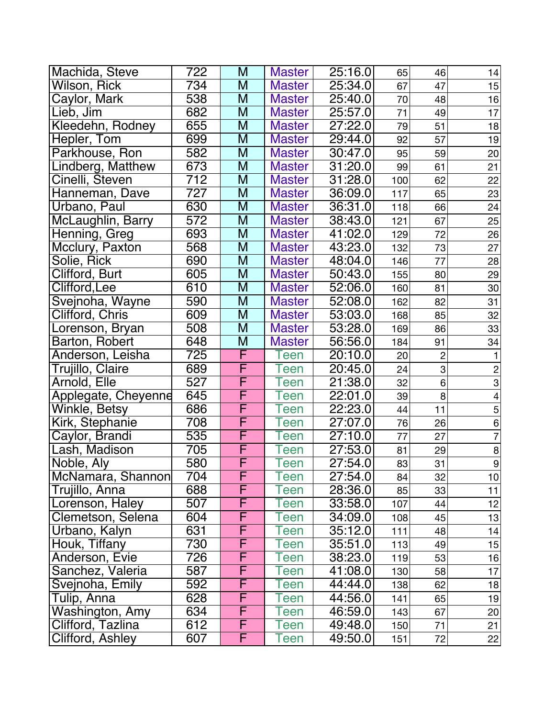| Machida, Steve      | 722 | M | <b>Master</b> | 25:16.0 | 65  | 46             | 14                       |
|---------------------|-----|---|---------------|---------|-----|----------------|--------------------------|
| Wilson, Rick        | 734 | M | <b>Master</b> | 25:34.0 | 67  | 47             | 15                       |
| Caylor, Mark        | 538 | M | <b>Master</b> | 25:40.0 | 70  | 48             | 16                       |
| Lieb, Jim           | 682 | M | <b>Master</b> | 25:57.0 | 71  | 49             | 17                       |
| Kleedehn, Rodney    | 655 | M | <b>Master</b> | 27:22.0 | 79  | 51             | 18                       |
| Hepler, Tom         | 699 | M | <b>Master</b> | 29:44.0 | 92  | 57             | 19                       |
| Parkhouse, Ron      | 582 | M | <b>Master</b> | 30:47.0 | 95  | 59             | 20                       |
| Lindberg, Matthew   | 673 | M | <b>Master</b> | 31:20.0 | 99  | 61             | 21                       |
| Cinelli, Steven     | 712 | M | <b>Master</b> | 31:28.0 | 100 | 62             | 22                       |
| Hanneman, Dave      | 727 | M | <b>Master</b> | 36:09.0 | 117 | 65             | 23                       |
| Urbano, Paul        | 630 | M | <b>Master</b> | 36:31.0 | 118 | 66             | 24                       |
| McLaughlin, Barry   | 572 | M | <b>Master</b> | 38:43.0 | 121 | 67             | 25                       |
| Henning, Greg       | 693 | M | <b>Master</b> | 41:02.0 | 129 | 72             | 26                       |
| Mcclury, Paxton     | 568 | M | <b>Master</b> | 43:23.0 | 132 | 73             | 27                       |
| Solie, Rick         | 690 | M | <b>Master</b> | 48:04.0 | 146 | 77             | 28                       |
| Clifford, Burt      | 605 | M | <b>Master</b> | 50:43.0 | 155 | 80             | 29                       |
| Clifford,Lee        | 610 | M | <b>Master</b> | 52:06.0 | 160 | 81             | 30                       |
| Svejnoha, Wayne     | 590 | M | <b>Master</b> | 52:08.0 | 162 | 82             | 31                       |
| Clifford, Chris     | 609 | M | <b>Master</b> | 53:03.0 | 168 | 85             | 32                       |
| Lorenson, Bryan     | 508 | M | <b>Master</b> | 53:28.0 | 169 | 86             | 33                       |
| Barton, Robert      | 648 | M | <b>Master</b> | 56:56.0 | 184 | 91             | 34                       |
| Anderson, Leisha    | 725 | F | Teen          | 20:10.0 | 20  | $\overline{c}$ | $\mathbf{1}$             |
| Trujillo, Claire    | 689 | F | Teen          | 20:45.0 | 24  | 3              | $\overline{c}$           |
| Arnold, Elle        | 527 | F | Teen          | 21:38.0 | 32  | 6              | $\mbox{3}$               |
| Applegate, Cheyenne | 645 | F | Teen          | 22:01.0 | 39  | 8              | $\overline{\mathcal{L}}$ |
| Winkle, Betsy       | 686 | F | Teen          | 22:23.0 | 44  | 11             | $\overline{5}$           |
| Kirk, Stephanie     | 708 | F | Teen          | 27:07.0 | 76  | 26             | $\overline{6}$           |
| Caylor, Brandi      | 535 | F | een           | 27:10.0 | 77  | 27             | $\overline{7}$           |
| Lash, Madison       | 705 | F | Teen          | 27:53.0 | 81  | 29             | $\overline{8}$           |
| Noble, Aly          | 580 | F | Teen          | 27:54.0 | 83  | 31             | $\overline{9}$           |
| McNamara, Shannon   | 704 | F | Teen          | 27:54.0 | 84  | 32             | 10                       |
| Trujillo, Anna      | 688 | F | Teen          | 28:36.0 | 85  | 33             | 11                       |
| Lorenson, Haley     | 507 | F | Teen          | 33:58.0 | 107 | 44             | 12                       |
| Clemetson, Selena   | 604 | F | Teen          | 34:09.0 | 108 | 45             | 13                       |
| Urbano, Kalyn       | 631 | F | Teen          | 35:12.0 | 111 | 48             | 14                       |
| Houk, Tiffany       | 730 | F | Teen          | 35:51.0 | 113 | 49             | 15                       |
| Anderson, Evie      | 726 | F | Teen          | 38:23.0 | 119 | 53             | 16                       |
| Sanchez, Valeria    | 587 | F | Teen          | 41:08.0 | 130 | 58             | 17                       |
| Svejnoha, Emily     | 592 | F | Teen          | 44:44.0 | 138 | 62             | 18                       |
| Tulip, Anna         | 628 | F | een           | 44:56.0 | 141 | 65             | 19                       |
| Washington, Amy     | 634 | F | Teen          | 46:59.0 | 143 | 67             | 20                       |
| Clifford, Tazlina   | 612 | F | Teen          | 49:48.0 | 150 | 71             | 21                       |
| Clifford, Ashley    | 607 | F | Teen          | 49:50.0 | 151 | 72             | 22                       |